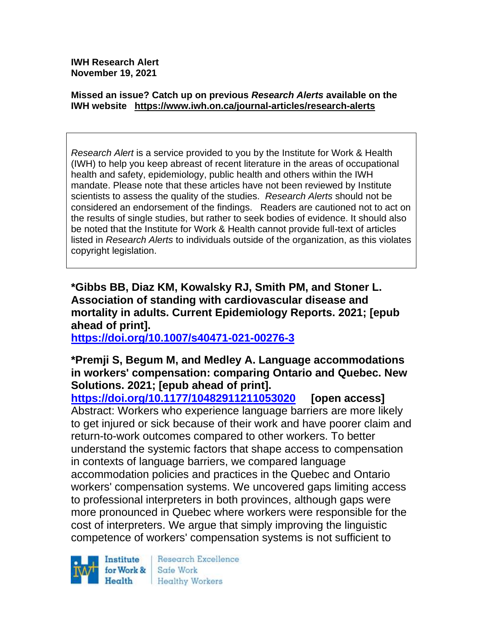**IWH Research Alert November 19, 2021**

#### **Missed an issue? Catch up on previous** *Research Alerts* **available on the [IWH website](http://www.iwh.on.ca/research-alerts) <https://www.iwh.on.ca/journal-articles/research-alerts>**

*Research Alert* is a service provided to you by the Institute for Work & Health (IWH) to help you keep abreast of recent literature in the areas of occupational health and safety, epidemiology, public health and others within the IWH mandate. Please note that these articles have not been reviewed by Institute scientists to assess the quality of the studies. *Research Alerts* should not be considered an endorsement of the findings. Readers are cautioned not to act on the results of single studies, but rather to seek bodies of evidence. It should also be noted that the Institute for Work & Health cannot provide full-text of articles listed in *Research Alerts* to individuals outside of the organization, as this violates copyright legislation.

**\*Gibbs BB, Diaz KM, Kowalsky RJ, Smith PM, and Stoner L. Association of standing with cardiovascular disease and mortality in adults. Current Epidemiology Reports. 2021; [epub ahead of print].**

**<https://doi.org/10.1007/s40471-021-00276-3>** 

## **\*Premji S, Begum M, and Medley A. Language accommodations in workers' compensation: comparing Ontario and Quebec. New Solutions. 2021; [epub ahead of print].**

**<https://doi.org/10.1177/10482911211053020> [open access]** Abstract: Workers who experience language barriers are more likely to get injured or sick because of their work and have poorer claim and return-to-work outcomes compared to other workers. To better understand the systemic factors that shape access to compensation in contexts of language barriers, we compared language accommodation policies and practices in the Quebec and Ontario workers' compensation systems. We uncovered gaps limiting access to professional interpreters in both provinces, although gaps were more pronounced in Quebec where workers were responsible for the cost of interpreters. We argue that simply improving the linguistic competence of workers' compensation systems is not sufficient to

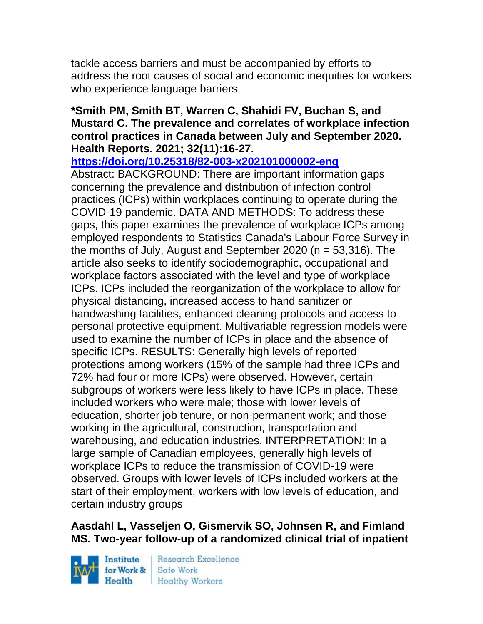tackle access barriers and must be accompanied by efforts to address the root causes of social and economic inequities for workers who experience language barriers

#### **\*Smith PM, Smith BT, Warren C, Shahidi FV, Buchan S, and Mustard C. The prevalence and correlates of workplace infection control practices in Canada between July and September 2020. Health Reports. 2021; 32(11):16-27.**

**<https://doi.org/10.25318/82-003-x202101000002-eng>** 

Abstract: BACKGROUND: There are important information gaps concerning the prevalence and distribution of infection control practices (ICPs) within workplaces continuing to operate during the COVID-19 pandemic. DATA AND METHODS: To address these gaps, this paper examines the prevalence of workplace ICPs among employed respondents to Statistics Canada's Labour Force Survey in the months of July, August and September 2020 (n = 53,316). The article also seeks to identify sociodemographic, occupational and workplace factors associated with the level and type of workplace ICPs. ICPs included the reorganization of the workplace to allow for physical distancing, increased access to hand sanitizer or handwashing facilities, enhanced cleaning protocols and access to personal protective equipment. Multivariable regression models were used to examine the number of ICPs in place and the absence of specific ICPs. RESULTS: Generally high levels of reported protections among workers (15% of the sample had three ICPs and 72% had four or more ICPs) were observed. However, certain subgroups of workers were less likely to have ICPs in place. These included workers who were male; those with lower levels of education, shorter job tenure, or non-permanent work; and those working in the agricultural, construction, transportation and warehousing, and education industries. INTERPRETATION: In a large sample of Canadian employees, generally high levels of workplace ICPs to reduce the transmission of COVID-19 were observed. Groups with lower levels of ICPs included workers at the start of their employment, workers with low levels of education, and certain industry groups

# **Aasdahl L, Vasseljen O, Gismervik SO, Johnsen R, and Fimland MS. Two-year follow-up of a randomized clinical trial of inpatient**

Institute Health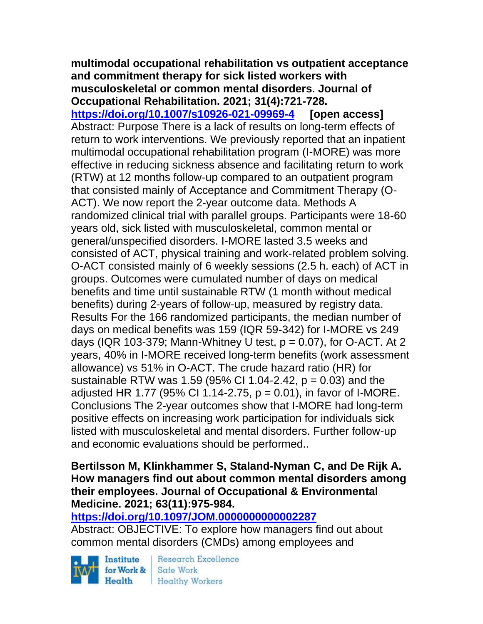#### **multimodal occupational rehabilitation vs outpatient acceptance and commitment therapy for sick listed workers with musculoskeletal or common mental disorders. Journal of Occupational Rehabilitation. 2021; 31(4):721-728.**

**<https://doi.org/10.1007/s10926-021-09969-4> [open access]** Abstract: Purpose There is a lack of results on long-term effects of return to work interventions. We previously reported that an inpatient multimodal occupational rehabilitation program (I-MORE) was more effective in reducing sickness absence and facilitating return to work (RTW) at 12 months follow-up compared to an outpatient program that consisted mainly of Acceptance and Commitment Therapy (O-ACT). We now report the 2-year outcome data. Methods A randomized clinical trial with parallel groups. Participants were 18-60 years old, sick listed with musculoskeletal, common mental or general/unspecified disorders. I-MORE lasted 3.5 weeks and consisted of ACT, physical training and work-related problem solving. O-ACT consisted mainly of 6 weekly sessions (2.5 h. each) of ACT in groups. Outcomes were cumulated number of days on medical benefits and time until sustainable RTW (1 month without medical benefits) during 2-years of follow-up, measured by registry data. Results For the 166 randomized participants, the median number of days on medical benefits was 159 (IQR 59-342) for I-MORE vs 249 days (IQR 103-379; Mann-Whitney U test,  $p = 0.07$ ), for O-ACT. At 2 years, 40% in I-MORE received long-term benefits (work assessment allowance) vs 51% in O-ACT. The crude hazard ratio (HR) for sustainable RTW was 1.59 (95% CI 1.04-2.42,  $p = 0.03$ ) and the adjusted HR 1.77 (95% CI 1.14-2.75,  $p = 0.01$ ), in favor of I-MORE. Conclusions The 2-year outcomes show that I-MORE had long-term positive effects on increasing work participation for individuals sick listed with musculoskeletal and mental disorders. Further follow-up and economic evaluations should be performed..

#### **Bertilsson M, Klinkhammer S, Staland-Nyman C, and De Rijk A. How managers find out about common mental disorders among their employees. Journal of Occupational & Environmental Medicine. 2021; 63(11):975-984.**

# **<https://doi.org/10.1097/JOM.0000000000002287>**

Abstract: OBJECTIVE: To explore how managers find out about common mental disorders (CMDs) among employees and

Institute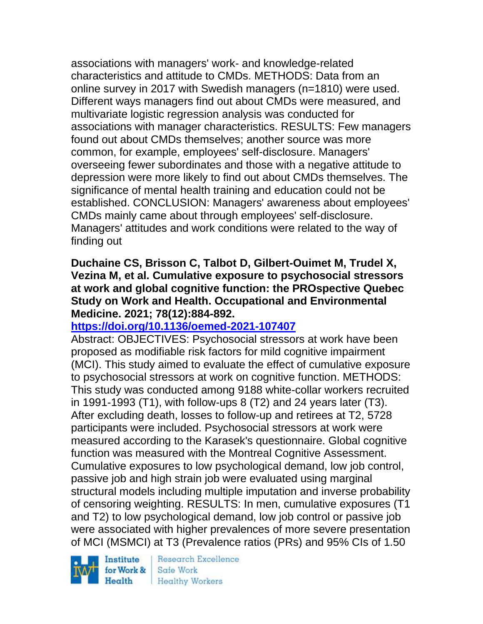associations with managers' work- and knowledge-related characteristics and attitude to CMDs. METHODS: Data from an online survey in 2017 with Swedish managers (n=1810) were used. Different ways managers find out about CMDs were measured, and multivariate logistic regression analysis was conducted for associations with manager characteristics. RESULTS: Few managers found out about CMDs themselves; another source was more common, for example, employees' self-disclosure. Managers' overseeing fewer subordinates and those with a negative attitude to depression were more likely to find out about CMDs themselves. The significance of mental health training and education could not be established. CONCLUSION: Managers' awareness about employees' CMDs mainly came about through employees' self-disclosure. Managers' attitudes and work conditions were related to the way of finding out

### **Duchaine CS, Brisson C, Talbot D, Gilbert-Ouimet M, Trudel X, Vezina M, et al. Cumulative exposure to psychosocial stressors at work and global cognitive function: the PROspective Quebec Study on Work and Health. Occupational and Environmental Medicine. 2021; 78(12):884-892.**

# **<https://doi.org/10.1136/oemed-2021-107407>**

Abstract: OBJECTIVES: Psychosocial stressors at work have been proposed as modifiable risk factors for mild cognitive impairment (MCI). This study aimed to evaluate the effect of cumulative exposure to psychosocial stressors at work on cognitive function. METHODS: This study was conducted among 9188 white-collar workers recruited in 1991-1993 (T1), with follow-ups 8 (T2) and 24 years later (T3). After excluding death, losses to follow-up and retirees at T2, 5728 participants were included. Psychosocial stressors at work were measured according to the Karasek's questionnaire. Global cognitive function was measured with the Montreal Cognitive Assessment. Cumulative exposures to low psychological demand, low job control, passive job and high strain job were evaluated using marginal structural models including multiple imputation and inverse probability of censoring weighting. RESULTS: In men, cumulative exposures (T1 and T2) to low psychological demand, low job control or passive job were associated with higher prevalences of more severe presentation of MCI (MSMCI) at T3 (Prevalence ratios (PRs) and 95% CIs of 1.50

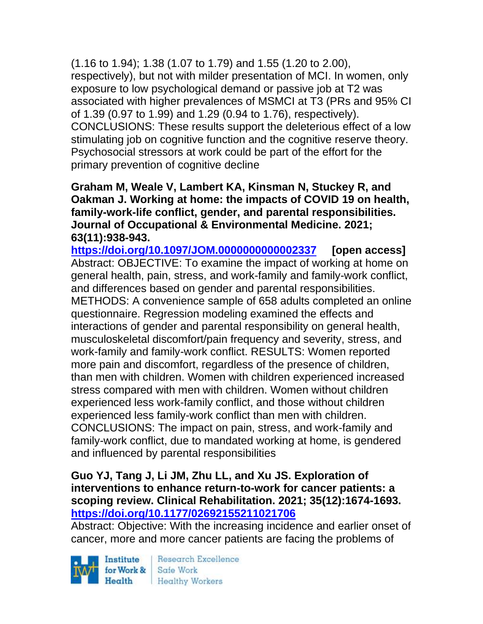(1.16 to 1.94); 1.38 (1.07 to 1.79) and 1.55 (1.20 to 2.00), respectively), but not with milder presentation of MCI. In women, only exposure to low psychological demand or passive job at T2 was associated with higher prevalences of MSMCI at T3 (PRs and 95% CI of 1.39 (0.97 to 1.99) and 1.29 (0.94 to 1.76), respectively). CONCLUSIONS: These results support the deleterious effect of a low stimulating job on cognitive function and the cognitive reserve theory. Psychosocial stressors at work could be part of the effort for the primary prevention of cognitive decline

**Graham M, Weale V, Lambert KA, Kinsman N, Stuckey R, and Oakman J. Working at home: the impacts of COVID 19 on health, family-work-life conflict, gender, and parental responsibilities. Journal of Occupational & Environmental Medicine. 2021; 63(11):938-943.** 

**<https://doi.org/10.1097/JOM.0000000000002337> [open access]** Abstract: OBJECTIVE: To examine the impact of working at home on general health, pain, stress, and work-family and family-work conflict, and differences based on gender and parental responsibilities. METHODS: A convenience sample of 658 adults completed an online questionnaire. Regression modeling examined the effects and interactions of gender and parental responsibility on general health, musculoskeletal discomfort/pain frequency and severity, stress, and work-family and family-work conflict. RESULTS: Women reported more pain and discomfort, regardless of the presence of children, than men with children. Women with children experienced increased stress compared with men with children. Women without children experienced less work-family conflict, and those without children experienced less family-work conflict than men with children. CONCLUSIONS: The impact on pain, stress, and work-family and family-work conflict, due to mandated working at home, is gendered and influenced by parental responsibilities

### **Guo YJ, Tang J, Li JM, Zhu LL, and Xu JS. Exploration of interventions to enhance return-to-work for cancer patients: a scoping review. Clinical Rehabilitation. 2021; 35(12):1674-1693. <https://doi.org/10.1177/02692155211021706>**

Abstract: Objective: With the increasing incidence and earlier onset of cancer, more and more cancer patients are facing the problems of

Institute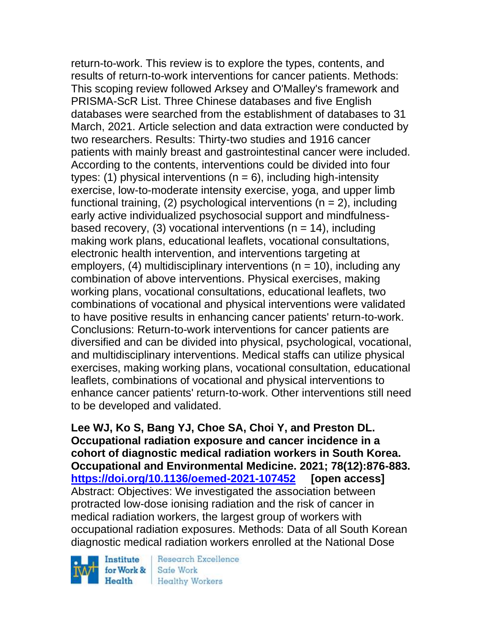return-to-work. This review is to explore the types, contents, and results of return-to-work interventions for cancer patients. Methods: This scoping review followed Arksey and O'Malley's framework and PRISMA-ScR List. Three Chinese databases and five English databases were searched from the establishment of databases to 31 March, 2021. Article selection and data extraction were conducted by two researchers. Results: Thirty-two studies and 1916 cancer patients with mainly breast and gastrointestinal cancer were included. According to the contents, interventions could be divided into four types: (1) physical interventions ( $n = 6$ ), including high-intensity exercise, low-to-moderate intensity exercise, yoga, and upper limb functional training, (2) psychological interventions ( $n = 2$ ), including early active individualized psychosocial support and mindfulnessbased recovery, (3) vocational interventions ( $n = 14$ ), including making work plans, educational leaflets, vocational consultations, electronic health intervention, and interventions targeting at employers, (4) multidisciplinary interventions ( $n = 10$ ), including any combination of above interventions. Physical exercises, making working plans, vocational consultations, educational leaflets, two combinations of vocational and physical interventions were validated to have positive results in enhancing cancer patients' return-to-work. Conclusions: Return-to-work interventions for cancer patients are diversified and can be divided into physical, psychological, vocational, and multidisciplinary interventions. Medical staffs can utilize physical exercises, making working plans, vocational consultation, educational leaflets, combinations of vocational and physical interventions to enhance cancer patients' return-to-work. Other interventions still need to be developed and validated.

**Lee WJ, Ko S, Bang YJ, Choe SA, Choi Y, and Preston DL. Occupational radiation exposure and cancer incidence in a cohort of diagnostic medical radiation workers in South Korea. Occupational and Environmental Medicine. 2021; 78(12):876-883. <https://doi.org/10.1136/oemed-2021-107452> [open access]** Abstract: Objectives: We investigated the association between protracted low-dose ionising radiation and the risk of cancer in medical radiation workers, the largest group of workers with occupational radiation exposures. Methods: Data of all South Korean diagnostic medical radiation workers enrolled at the National Dose

Institute for Work & Health

Research Excellence Safe Work **Healthy Workers**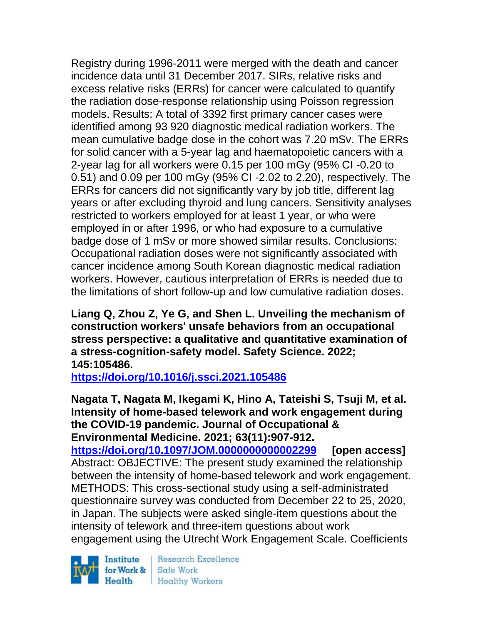Registry during 1996-2011 were merged with the death and cancer incidence data until 31 December 2017. SIRs, relative risks and excess relative risks (ERRs) for cancer were calculated to quantify the radiation dose-response relationship using Poisson regression models. Results: A total of 3392 first primary cancer cases were identified among 93 920 diagnostic medical radiation workers. The mean cumulative badge dose in the cohort was 7.20 mSv. The ERRs for solid cancer with a 5-year lag and haematopoietic cancers with a 2-year lag for all workers were 0.15 per 100 mGy (95% CI -0.20 to 0.51) and 0.09 per 100 mGy (95% CI -2.02 to 2.20), respectively. The ERRs for cancers did not significantly vary by job title, different lag years or after excluding thyroid and lung cancers. Sensitivity analyses restricted to workers employed for at least 1 year, or who were employed in or after 1996, or who had exposure to a cumulative badge dose of 1 mSv or more showed similar results. Conclusions: Occupational radiation doses were not significantly associated with cancer incidence among South Korean diagnostic medical radiation workers. However, cautious interpretation of ERRs is needed due to the limitations of short follow-up and low cumulative radiation doses.

**Liang Q, Zhou Z, Ye G, and Shen L. Unveiling the mechanism of construction workers' unsafe behaviors from an occupational stress perspective: a qualitative and quantitative examination of a stress-cognition-safety model. Safety Science. 2022; 145:105486.**

**<https://doi.org/10.1016/j.ssci.2021.105486>** 

**Nagata T, Nagata M, Ikegami K, Hino A, Tateishi S, Tsuji M, et al. Intensity of home-based telework and work engagement during the COVID-19 pandemic. Journal of Occupational & Environmental Medicine. 2021; 63(11):907-912.** 

**<https://doi.org/10.1097/JOM.0000000000002299> [open access]** Abstract: OBJECTIVE: The present study examined the relationship between the intensity of home-based telework and work engagement. METHODS: This cross-sectional study using a self-administrated questionnaire survey was conducted from December 22 to 25, 2020, in Japan. The subjects were asked single-item questions about the intensity of telework and three-item questions about work engagement using the Utrecht Work Engagement Scale. Coefficients

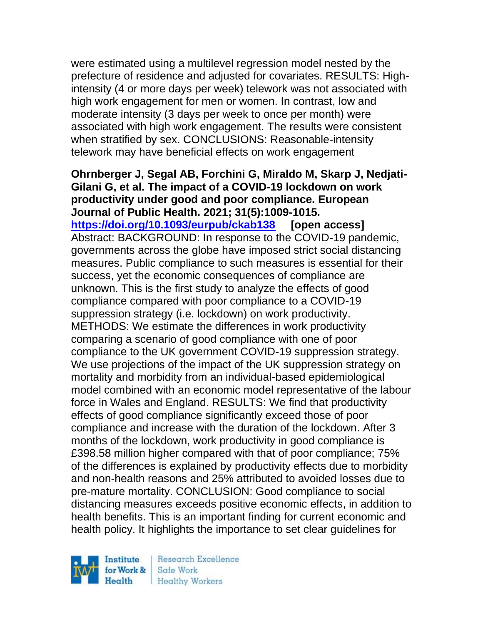were estimated using a multilevel regression model nested by the prefecture of residence and adjusted for covariates. RESULTS: Highintensity (4 or more days per week) telework was not associated with high work engagement for men or women. In contrast, low and moderate intensity (3 days per week to once per month) were associated with high work engagement. The results were consistent when stratified by sex. CONCLUSIONS: Reasonable-intensity telework may have beneficial effects on work engagement

**Ohrnberger J, Segal AB, Forchini G, Miraldo M, Skarp J, Nedjati-Gilani G, et al. The impact of a COVID-19 lockdown on work productivity under good and poor compliance. European Journal of Public Health. 2021; 31(5):1009-1015. <https://doi.org/10.1093/eurpub/ckab138> [open access]** Abstract: BACKGROUND: In response to the COVID-19 pandemic, governments across the globe have imposed strict social distancing measures. Public compliance to such measures is essential for their success, yet the economic consequences of compliance are unknown. This is the first study to analyze the effects of good compliance compared with poor compliance to a COVID-19 suppression strategy (i.e. lockdown) on work productivity. METHODS: We estimate the differences in work productivity comparing a scenario of good compliance with one of poor compliance to the UK government COVID-19 suppression strategy. We use projections of the impact of the UK suppression strategy on mortality and morbidity from an individual-based epidemiological model combined with an economic model representative of the labour force in Wales and England. RESULTS: We find that productivity effects of good compliance significantly exceed those of poor compliance and increase with the duration of the lockdown. After 3 months of the lockdown, work productivity in good compliance is £398.58 million higher compared with that of poor compliance; 75% of the differences is explained by productivity effects due to morbidity and non-health reasons and 25% attributed to avoided losses due to pre-mature mortality. CONCLUSION: Good compliance to social distancing measures exceeds positive economic effects, in addition to health benefits. This is an important finding for current economic and health policy. It highlights the importance to set clear guidelines for

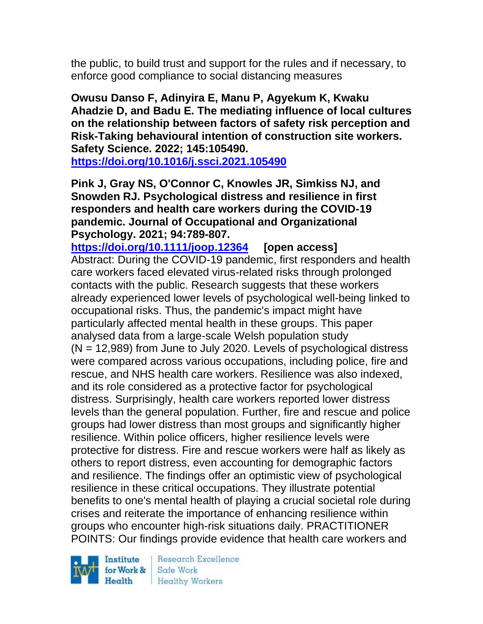the public, to build trust and support for the rules and if necessary, to enforce good compliance to social distancing measures

**Owusu Danso F, Adinyira E, Manu P, Agyekum K, Kwaku Ahadzie D, and Badu E. The mediating influence of local cultures on the relationship between factors of safety risk perception and Risk-Taking behavioural intention of construction site workers. Safety Science. 2022; 145:105490.**

**<https://doi.org/10.1016/j.ssci.2021.105490>** 

**Pink J, Gray NS, O'Connor C, Knowles JR, Simkiss NJ, and Snowden RJ. Psychological distress and resilience in first responders and health care workers during the COVID-19 pandemic. Journal of Occupational and Organizational Psychology. 2021; 94:789-807.** 

**<https://doi.org/10.1111/joop.12364> [open access]** Abstract: During the COVID-19 pandemic, first responders and health care workers faced elevated virus-related risks through prolonged contacts with the public. Research suggests that these workers already experienced lower levels of psychological well-being linked to occupational risks. Thus, the pandemic's impact might have particularly affected mental health in these groups. This paper analysed data from a large-scale Welsh population study  $(N = 12,989)$  from June to July 2020. Levels of psychological distress were compared across various occupations, including police, fire and rescue, and NHS health care workers. Resilience was also indexed, and its role considered as a protective factor for psychological distress. Surprisingly, health care workers reported lower distress levels than the general population. Further, fire and rescue and police groups had lower distress than most groups and significantly higher resilience. Within police officers, higher resilience levels were protective for distress. Fire and rescue workers were half as likely as others to report distress, even accounting for demographic factors and resilience. The findings offer an optimistic view of psychological resilience in these critical occupations. They illustrate potential benefits to one's mental health of playing a crucial societal role during crises and reiterate the importance of enhancing resilience within groups who encounter high-risk situations daily. PRACTITIONER POINTS: Our findings provide evidence that health care workers and

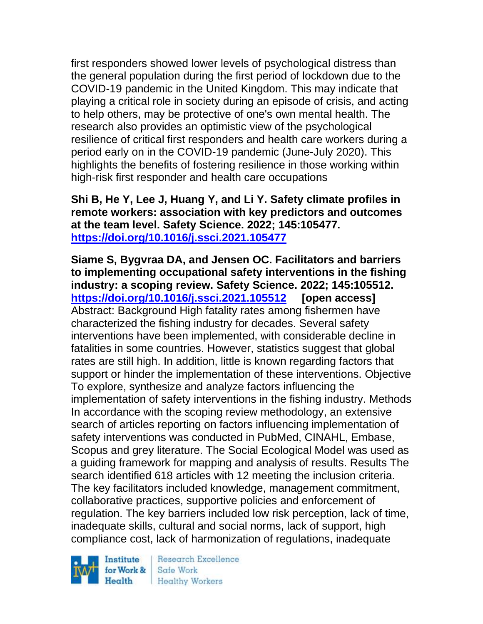first responders showed lower levels of psychological distress than the general population during the first period of lockdown due to the COVID-19 pandemic in the United Kingdom. This may indicate that playing a critical role in society during an episode of crisis, and acting to help others, may be protective of one's own mental health. The research also provides an optimistic view of the psychological resilience of critical first responders and health care workers during a period early on in the COVID-19 pandemic (June-July 2020). This highlights the benefits of fostering resilience in those working within high-risk first responder and health care occupations

**Shi B, He Y, Lee J, Huang Y, and Li Y. Safety climate profiles in remote workers: association with key predictors and outcomes at the team level. Safety Science. 2022; 145:105477. <https://doi.org/10.1016/j.ssci.2021.105477>** 

**Siame S, Bygvraa DA, and Jensen OC. Facilitators and barriers to implementing occupational safety interventions in the fishing industry: a scoping review. Safety Science. 2022; 145:105512. <https://doi.org/10.1016/j.ssci.2021.105512> [open access]** Abstract: Background High fatality rates among fishermen have characterized the fishing industry for decades. Several safety interventions have been implemented, with considerable decline in fatalities in some countries. However, statistics suggest that global rates are still high. In addition, little is known regarding factors that support or hinder the implementation of these interventions. Objective To explore, synthesize and analyze factors influencing the implementation of safety interventions in the fishing industry. Methods In accordance with the scoping review methodology, an extensive search of articles reporting on factors influencing implementation of safety interventions was conducted in PubMed, CINAHL, Embase, Scopus and grey literature. The Social Ecological Model was used as a guiding framework for mapping and analysis of results. Results The search identified 618 articles with 12 meeting the inclusion criteria. The key facilitators included knowledge, management commitment, collaborative practices, supportive policies and enforcement of regulation. The key barriers included low risk perception, lack of time, inadequate skills, cultural and social norms, lack of support, high compliance cost, lack of harmonization of regulations, inadequate

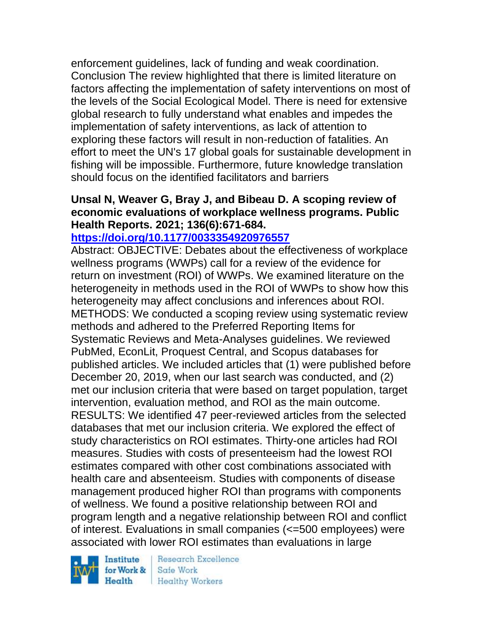enforcement guidelines, lack of funding and weak coordination. Conclusion The review highlighted that there is limited literature on factors affecting the implementation of safety interventions on most of the levels of the Social Ecological Model. There is need for extensive global research to fully understand what enables and impedes the implementation of safety interventions, as lack of attention to exploring these factors will result in non-reduction of fatalities. An effort to meet the UN's 17 global goals for sustainable development in fishing will be impossible. Furthermore, future knowledge translation should focus on the identified facilitators and barriers

### **Unsal N, Weaver G, Bray J, and Bibeau D. A scoping review of economic evaluations of workplace wellness programs. Public Health Reports. 2021; 136(6):671-684.**

## **<https://doi.org/10.1177/0033354920976557>**

Abstract: OBJECTIVE: Debates about the effectiveness of workplace wellness programs (WWPs) call for a review of the evidence for return on investment (ROI) of WWPs. We examined literature on the heterogeneity in methods used in the ROI of WWPs to show how this heterogeneity may affect conclusions and inferences about ROI. METHODS: We conducted a scoping review using systematic review methods and adhered to the Preferred Reporting Items for Systematic Reviews and Meta-Analyses guidelines. We reviewed PubMed, EconLit, Proquest Central, and Scopus databases for published articles. We included articles that (1) were published before December 20, 2019, when our last search was conducted, and (2) met our inclusion criteria that were based on target population, target intervention, evaluation method, and ROI as the main outcome. RESULTS: We identified 47 peer-reviewed articles from the selected databases that met our inclusion criteria. We explored the effect of study characteristics on ROI estimates. Thirty-one articles had ROI measures. Studies with costs of presenteeism had the lowest ROI estimates compared with other cost combinations associated with health care and absenteeism. Studies with components of disease management produced higher ROI than programs with components of wellness. We found a positive relationship between ROI and program length and a negative relationship between ROI and conflict of interest. Evaluations in small companies (<=500 employees) were associated with lower ROI estimates than evaluations in large